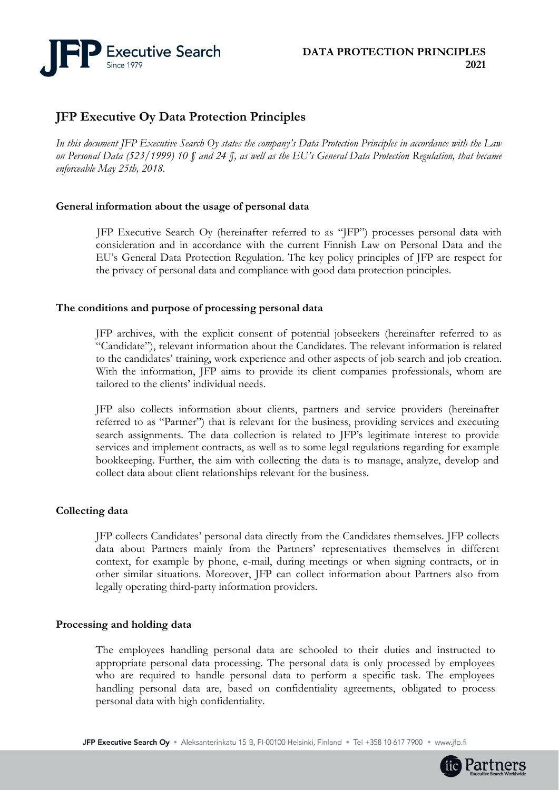

# **JFP Executive Oy Data Protection Principles**

*In this document JFP Executive Search Oy states the company's Data Protection Principles in accordance with the Law on Personal Data (523/1999) 10 § and 24 §, as well as the EU's General Data Protection Regulation, that became enforceable May 25th, 2018.* 

## **General information about the usage of personal data**

JFP Executive Search Oy (hereinafter referred to as "JFP") processes personal data with consideration and in accordance with the current Finnish Law on Personal Data and the EU's General Data Protection Regulation. The key policy principles of JFP are respect for the privacy of personal data and compliance with good data protection principles.

## **The conditions and purpose of processing personal data**

JFP archives, with the explicit consent of potential jobseekers (hereinafter referred to as "Candidate"), relevant information about the Candidates. The relevant information is related to the candidates' training, work experience and other aspects of job search and job creation. With the information, JFP aims to provide its client companies professionals, whom are tailored to the clients' individual needs.

JFP also collects information about clients, partners and service providers (hereinafter referred to as "Partner") that is relevant for the business, providing services and executing search assignments. The data collection is related to JFP's legitimate interest to provide services and implement contracts, as well as to some legal regulations regarding for example bookkeeping. Further, the aim with collecting the data is to manage, analyze, develop and collect data about client relationships relevant for the business.

## **Collecting data**

JFP collects Candidates' personal data directly from the Candidates themselves. JFP collects data about Partners mainly from the Partners' representatives themselves in different context, for example by phone, e-mail, during meetings or when signing contracts, or in other similar situations. Moreover, JFP can collect information about Partners also from legally operating third-party information providers.

## **Processing and holding data**

The employees handling personal data are schooled to their duties and instructed to appropriate personal data processing. The personal data is only processed by employees who are required to handle personal data to perform a specific task. The employees handling personal data are, based on confidentiality agreements, obligated to process personal data with high confidentiality.